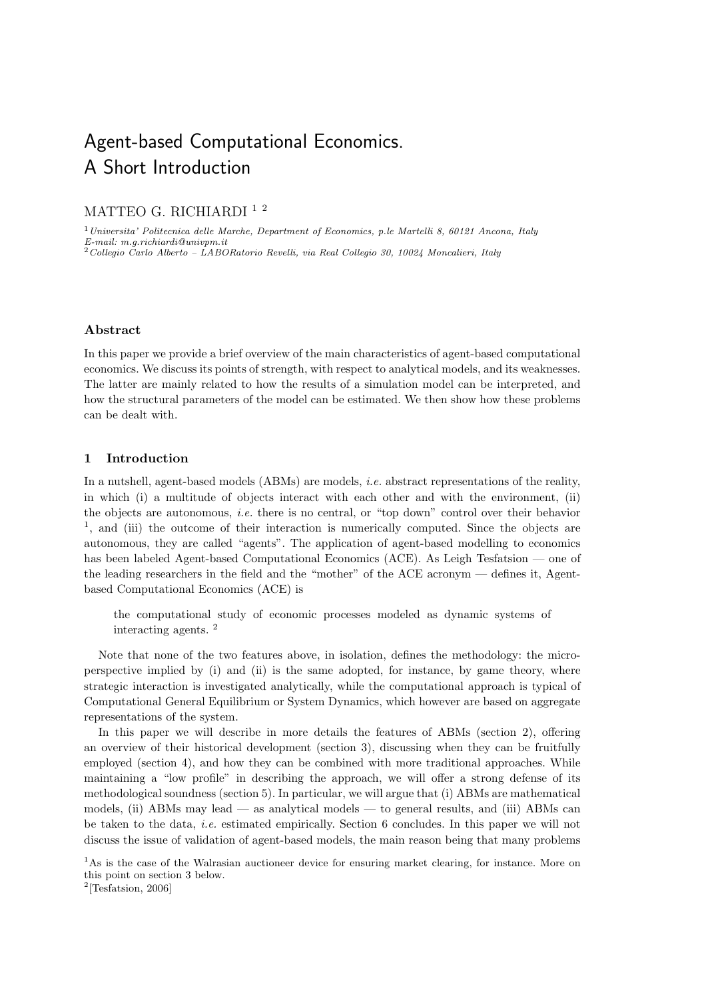# Agent-based Computational Economics. A Short Introduction

# MATTEO G. RICHIARDI <sup>12</sup>

<sup>1</sup>*Universita' Politecnica delle Marche, Department of Economics, p.le Martelli 8, 60121 Ancona, Italy E-mail: m.g.richiardi@univpm.it* <sup>2</sup>*Collegio Carlo Alberto – LABORatorio Revelli, via Real Collegio 30, 10024 Moncalieri, Italy*

# Abstract

In this paper we provide a brief overview of the main characteristics of agent-based computational economics. We discuss its points of strength, with respect to analytical models, and its weaknesses. The latter are mainly related to how the results of a simulation model can be interpreted, and how the structural parameters of the model can be estimated. We then show how these problems can be dealt with.

#### 1 Introduction

In a nutshell, agent-based models (ABMs) are models, *i.e.* abstract representations of the reality, in which (i) a multitude of objects interact with each other and with the environment, (ii) the objects are autonomous, *i.e.* there is no central, or "top down" control over their behavior <sup>1</sup>, and (iii) the outcome of their interaction is numerically computed. Since the objects are autonomous, they are called "agents". The application of agent-based modelling to economics has been labeled Agent-based Computational Economics (ACE). As Leigh Tesfatsion — one of the leading researchers in the field and the "mother" of the ACE acronym — defines it, Agentbased Computational Economics (ACE) is

the computational study of economic processes modeled as dynamic systems of interacting agents. <sup>2</sup>

Note that none of the two features above, in isolation, defines the methodology: the microperspective implied by (i) and (ii) is the same adopted, for instance, by game theory, where strategic interaction is investigated analytically, while the computational approach is typical of Computational General Equilibrium or System Dynamics, which however are based on aggregate representations of the system.

In this paper we will describe in more details the features of ABMs (section 2), offering an overview of their historical development (section 3), discussing when they can be fruitfully employed (section 4), and how they can be combined with more traditional approaches. While maintaining a "low profile" in describing the approach, we will offer a strong defense of its methodological soundness (section 5). In particular, we will argue that (i) ABMs are mathematical models, (ii) ABMs may lead — as analytical models — to general results, and (iii) ABMs can be taken to the data, *i.e.* estimated empirically. Section 6 concludes. In this paper we will not discuss the issue of validation of agent-based models, the main reason being that many problems

<sup>1</sup>As is the case of the Walrasian auctioneer device for ensuring market clearing, for instance. More on this point on section 3 below.

<sup>&</sup>lt;sup>2</sup>[Tesfatsion, 2006]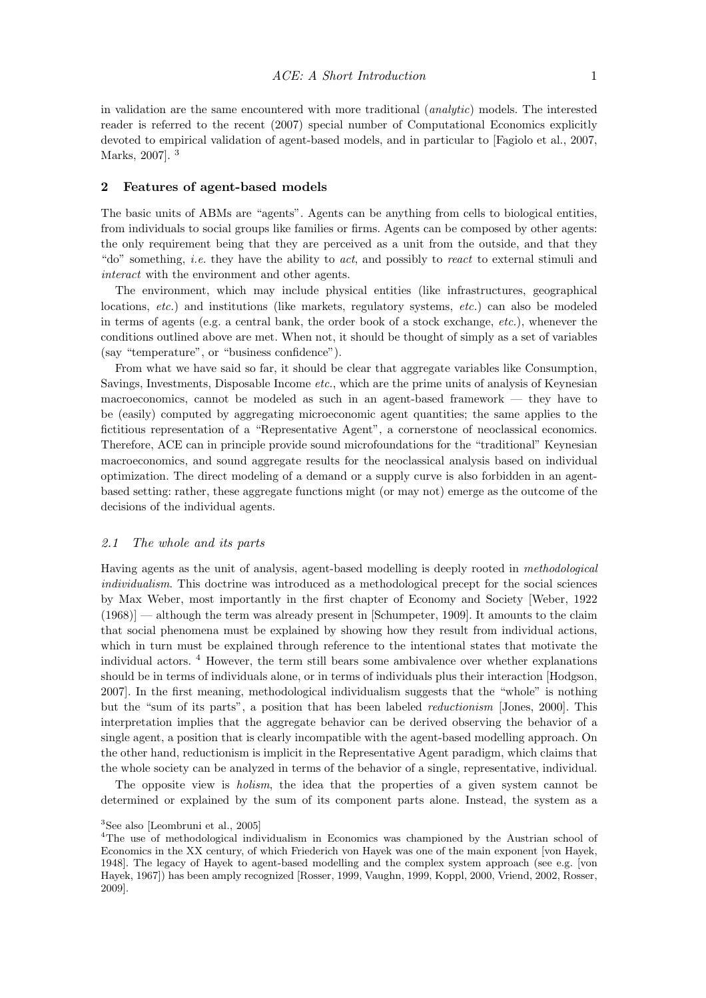in validation are the same encountered with more traditional (*analytic*) models. The interested reader is referred to the recent (2007) special number of Computational Economics explicitly devoted to empirical validation of agent-based models, and in particular to [Fagiolo et al., 2007, Marks, 2007]. <sup>3</sup>

## 2 Features of agent-based models

The basic units of ABMs are "agents". Agents can be anything from cells to biological entities, from individuals to social groups like families or firms. Agents can be composed by other agents: the only requirement being that they are perceived as a unit from the outside, and that they "do" something, *i.e.* they have the ability to *act*, and possibly to *react* to external stimuli and *interact* with the environment and other agents.

The environment, which may include physical entities (like infrastructures, geographical locations, *etc.*) and institutions (like markets, regulatory systems, *etc.*) can also be modeled in terms of agents (e.g. a central bank, the order book of a stock exchange, *etc.*), whenever the conditions outlined above are met. When not, it should be thought of simply as a set of variables (say "temperature", or "business confidence").

From what we have said so far, it should be clear that aggregate variables like Consumption, Savings, Investments, Disposable Income *etc.*, which are the prime units of analysis of Keynesian macroeconomics, cannot be modeled as such in an agent-based framework — they have to be (easily) computed by aggregating microeconomic agent quantities; the same applies to the fictitious representation of a "Representative Agent", a cornerstone of neoclassical economics. Therefore, ACE can in principle provide sound microfoundations for the "traditional" Keynesian macroeconomics, and sound aggregate results for the neoclassical analysis based on individual optimization. The direct modeling of a demand or a supply curve is also forbidden in an agentbased setting: rather, these aggregate functions might (or may not) emerge as the outcome of the decisions of the individual agents.

#### *2.1 The whole and its parts*

Having agents as the unit of analysis, agent-based modelling is deeply rooted in *methodological individualism*. This doctrine was introduced as a methodological precept for the social sciences by Max Weber, most importantly in the first chapter of Economy and Society [Weber, 1922 (1968)] — although the term was already present in [Schumpeter, 1909]. It amounts to the claim that social phenomena must be explained by showing how they result from individual actions, which in turn must be explained through reference to the intentional states that motivate the individual actors. <sup>4</sup> However, the term still bears some ambivalence over whether explanations should be in terms of individuals alone, or in terms of individuals plus their interaction [Hodgson, 2007]. In the first meaning, methodological individualism suggests that the "whole" is nothing but the "sum of its parts", a position that has been labeled *reductionism* [Jones, 2000]. This interpretation implies that the aggregate behavior can be derived observing the behavior of a single agent, a position that is clearly incompatible with the agent-based modelling approach. On the other hand, reductionism is implicit in the Representative Agent paradigm, which claims that the whole society can be analyzed in terms of the behavior of a single, representative, individual.

The opposite view is *holism*, the idea that the properties of a given system cannot be determined or explained by the sum of its component parts alone. Instead, the system as a

<sup>3</sup>See also [Leombruni et al., 2005]

<sup>&</sup>lt;sup>4</sup>The use of methodological individualism in Economics was championed by the Austrian school of Economics in the XX century, of which Friederich von Hayek was one of the main exponent [von Hayek, 1948]. The legacy of Hayek to agent-based modelling and the complex system approach (see e.g. [von Hayek, 1967]) has been amply recognized [Rosser, 1999, Vaughn, 1999, Koppl, 2000, Vriend, 2002, Rosser, 2009].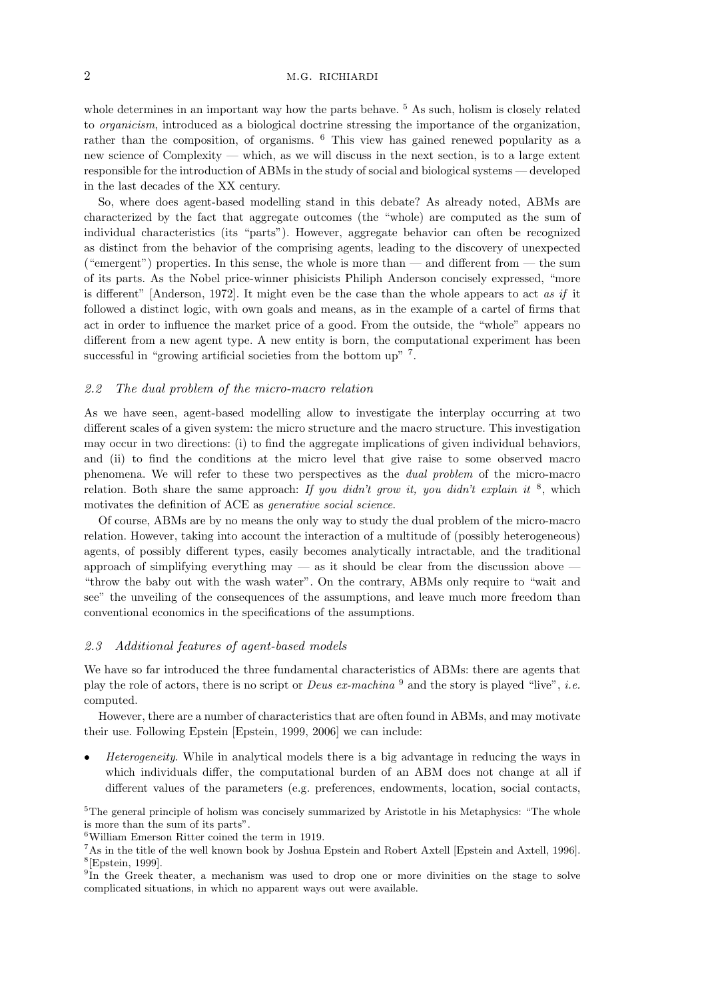# 2 m.g. richiardi

whole determines in an important way how the parts behave.<sup>5</sup> As such, holism is closely related to *organicism*, introduced as a biological doctrine stressing the importance of the organization, rather than the composition, of organisms. <sup>6</sup> This view has gained renewed popularity as a new science of Complexity — which, as we will discuss in the next section, is to a large extent responsible for the introduction of ABMs in the study of social and biological systems — developed in the last decades of the XX century.

So, where does agent-based modelling stand in this debate? As already noted, ABMs are characterized by the fact that aggregate outcomes (the "whole) are computed as the sum of individual characteristics (its "parts"). However, aggregate behavior can often be recognized as distinct from the behavior of the comprising agents, leading to the discovery of unexpected ("emergent") properties. In this sense, the whole is more than — and different from — the sum of its parts. As the Nobel price-winner phisicists Philiph Anderson concisely expressed, "more is different" [Anderson, 1972]. It might even be the case than the whole appears to act *as if* it followed a distinct logic, with own goals and means, as in the example of a cartel of firms that act in order to influence the market price of a good. From the outside, the "whole" appears no different from a new agent type. A new entity is born, the computational experiment has been successful in "growing artificial societies from the bottom up"?

#### *2.2 The dual problem of the micro-macro relation*

As we have seen, agent-based modelling allow to investigate the interplay occurring at two different scales of a given system: the micro structure and the macro structure. This investigation may occur in two directions: (i) to find the aggregate implications of given individual behaviors, and (ii) to find the conditions at the micro level that give raise to some observed macro phenomena. We will refer to these two perspectives as the *dual problem* of the micro-macro relation. Both share the same approach: If you didn't grow it, you didn't explain it <sup>8</sup>, which motivates the definition of ACE as *generative social science*.

Of course, ABMs are by no means the only way to study the dual problem of the micro-macro relation. However, taking into account the interaction of a multitude of (possibly heterogeneous) agents, of possibly different types, easily becomes analytically intractable, and the traditional approach of simplifying everything may  $-$  as it should be clear from the discussion above  $-$ "throw the baby out with the wash water". On the contrary, ABMs only require to "wait and see" the unveiling of the consequences of the assumptions, and leave much more freedom than conventional economics in the specifications of the assumptions.

# *2.3 Additional features of agent-based models*

We have so far introduced the three fundamental characteristics of ABMs: there are agents that play the role of actors, there is no script or *Deus ex-machina* <sup>9</sup> and the story is played "live", *i.e.* computed.

However, there are a number of characteristics that are often found in ABMs, and may motivate their use. Following Epstein [Epstein, 1999, 2006] we can include:

• *Heterogeneity*. While in analytical models there is a big advantage in reducing the ways in which individuals differ, the computational burden of an ABM does not change at all if different values of the parameters (e.g. preferences, endowments, location, social contacts,

<sup>5</sup>The general principle of holism was concisely summarized by Aristotle in his Metaphysics: "The whole is more than the sum of its parts".

 ${}^{6}\text{William Emerson Ritter coined the term in 1919.}$ 

<sup>7</sup>As in the title of the well known book by Joshua Epstein and Robert Axtell [Epstein and Axtell, 1996]. 8 [Epstein, 1999].

<sup>9</sup>In the Greek theater, a mechanism was used to drop one or more divinities on the stage to solve complicated situations, in which no apparent ways out were available.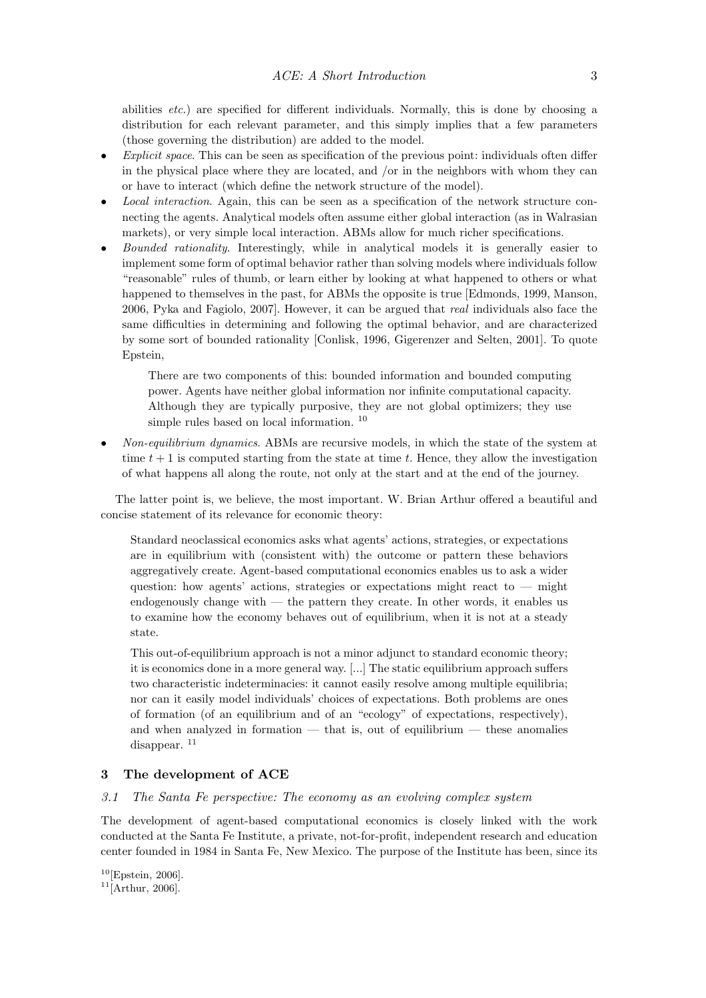abilities *etc.*) are specified for different individuals. Normally, this is done by choosing a distribution for each relevant parameter, and this simply implies that a few parameters (those governing the distribution) are added to the model.

- *Explicit space*. This can be seen as specification of the previous point: individuals often differ in the physical place where they are located, and /or in the neighbors with whom they can or have to interact (which define the network structure of the model).
- *Local interaction*. Again, this can be seen as a specification of the network structure connecting the agents. Analytical models often assume either global interaction (as in Walrasian markets), or very simple local interaction. ABMs allow for much richer specifications.
- *Bounded rationality*. Interestingly, while in analytical models it is generally easier to implement some form of optimal behavior rather than solving models where individuals follow "reasonable" rules of thumb, or learn either by looking at what happened to others or what happened to themselves in the past, for ABMs the opposite is true [Edmonds, 1999, Manson, 2006, Pyka and Fagiolo, 2007]. However, it can be argued that *real* individuals also face the same difficulties in determining and following the optimal behavior, and are characterized by some sort of bounded rationality [Conlisk, 1996, Gigerenzer and Selten, 2001]. To quote Epstein,

There are two components of this: bounded information and bounded computing power. Agents have neither global information nor infinite computational capacity. Although they are typically purposive, they are not global optimizers; they use simple rules based on local information. <sup>10</sup>

• *Non-equilibrium dynamics*. ABMs are recursive models, in which the state of the system at time  $t + 1$  is computed starting from the state at time t. Hence, they allow the investigation of what happens all along the route, not only at the start and at the end of the journey.

The latter point is, we believe, the most important. W. Brian Arthur offered a beautiful and concise statement of its relevance for economic theory:

Standard neoclassical economics asks what agents' actions, strategies, or expectations are in equilibrium with (consistent with) the outcome or pattern these behaviors aggregatively create. Agent-based computational economics enables us to ask a wider question: how agents' actions, strategies or expectations might react to  $-$  might endogenously change with — the pattern they create. In other words, it enables us to examine how the economy behaves out of equilibrium, when it is not at a steady state.

This out-of-equilibrium approach is not a minor adjunct to standard economic theory; it is economics done in a more general way. [...] The static equilibrium approach suffers two characteristic indeterminacies: it cannot easily resolve among multiple equilibria; nor can it easily model individuals' choices of expectations. Both problems are ones of formation (of an equilibrium and of an "ecology" of expectations, respectively), and when analyzed in formation  $-$  that is, out of equilibrium  $-$  these anomalies disappear.<sup>11</sup>

# 3 The development of ACE

#### *3.1 The Santa Fe perspective: The economy as an evolving complex system*

The development of agent-based computational economics is closely linked with the work conducted at the Santa Fe Institute, a private, not-for-profit, independent research and education center founded in 1984 in Santa Fe, New Mexico. The purpose of the Institute has been, since its

 $10$ [Epstein, 2006].

 $11$ <sup>[Arthur, 2006].</sup>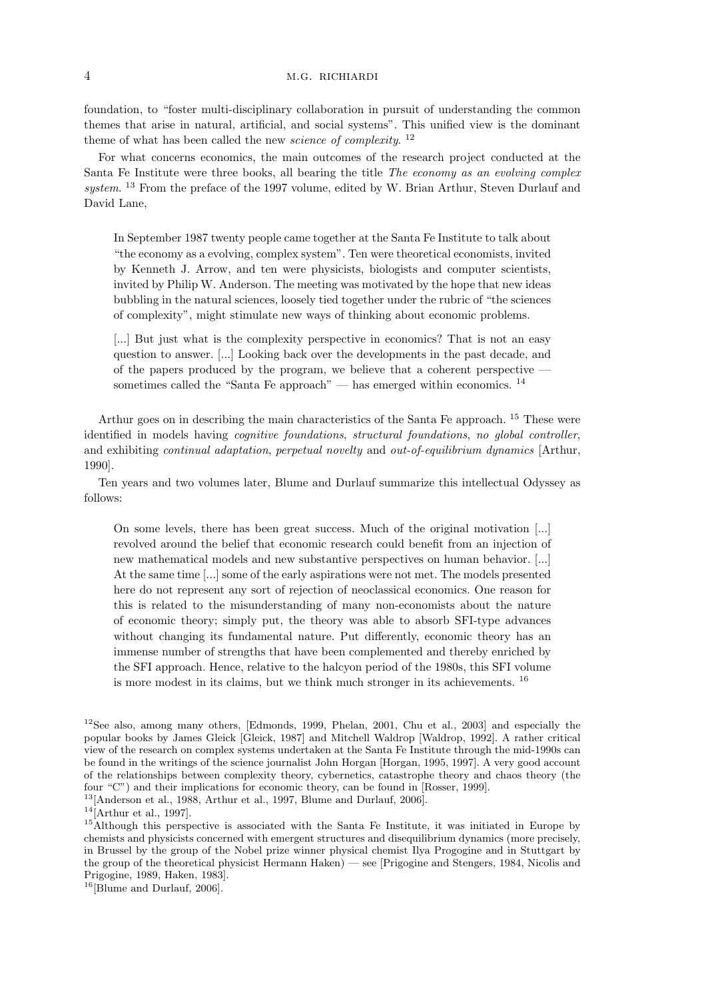## 4 m.g. richiardi M.g. richiardi

foundation, to "foster multi-disciplinary collaboration in pursuit of understanding the common themes that arise in natural, artificial, and social systems". This unified view is the dominant theme of what has been called the new *science of complexity*. 12

For what concerns economics, the main outcomes of the research project conducted at the Santa Fe Institute were three books, all bearing the title *The economy as an evolving complex system*. <sup>13</sup> From the preface of the 1997 volume, edited by W. Brian Arthur, Steven Durlauf and David Lane,

In September 1987 twenty people came together at the Santa Fe Institute to talk about "the economy as a evolving, complex system". Ten were theoretical economists, invited by Kenneth J. Arrow, and ten were physicists, biologists and computer scientists, invited by Philip W. Anderson. The meeting was motivated by the hope that new ideas bubbling in the natural sciences, loosely tied together under the rubric of "the sciences of complexity", might stimulate new ways of thinking about economic problems.

[...] But just what is the complexity perspective in economics? That is not an easy question to answer. [...] Looking back over the developments in the past decade, and of the papers produced by the program, we believe that a coherent perspective sometimes called the "Santa Fe approach" — has emerged within economics.  $^{14}$ 

Arthur goes on in describing the main characteristics of the Santa Fe approach. <sup>15</sup> These were identified in models having *cognitive foundations*, *structural foundations*, *no global controller*, and exhibiting *continual adaptation*, *perpetual novelty* and *out-of-equilibrium dynamics* [Arthur, 1990].

Ten years and two volumes later, Blume and Durlauf summarize this intellectual Odyssey as follows:

On some levels, there has been great success. Much of the original motivation [...] revolved around the belief that economic research could benefit from an injection of new mathematical models and new substantive perspectives on human behavior. [...] At the same time [...] some of the early aspirations were not met. The models presented here do not represent any sort of rejection of neoclassical economics. One reason for this is related to the misunderstanding of many non-economists about the nature of economic theory; simply put, the theory was able to absorb SFI-type advances without changing its fundamental nature. Put differently, economic theory has an immense number of strengths that have been complemented and thereby enriched by the SFI approach. Hence, relative to the halcyon period of the 1980s, this SFI volume is more modest in its claims, but we think much stronger in its achievements. <sup>16</sup>

 $13$ [Anderson et al., 1988, Arthur et al., 1997, Blume and Durlauf, 2006].

 $16$ [Blume and Durlauf, 2006].

 $12$ See also, among many others, [Edmonds, 1999, Phelan, 2001, Chu et al., 2003] and especially the popular books by James Gleick [Gleick, 1987] and Mitchell Waldrop [Waldrop, 1992]. A rather critical view of the research on complex systems undertaken at the Santa Fe Institute through the mid-1990s can be found in the writings of the science journalist John Horgan [Horgan, 1995, 1997]. A very good account of the relationships between complexity theory, cybernetics, catastrophe theory and chaos theory (the four "C") and their implications for economic theory, can be found in [Rosser, 1999].

 $^{14}$  [Arthur et al., 1997].

<sup>&</sup>lt;sup>15</sup>Although this perspective is associated with the Santa Fe Institute, it was initiated in Europe by chemists and physicists concerned with emergent structures and disequilibrium dynamics (more precisely, in Brussel by the group of the Nobel prize winner physical chemist Ilya Progogine and in Stuttgart by the group of the theoretical physicist Hermann Haken) — see [Prigogine and Stengers, 1984, Nicolis and Prigogine, 1989, Haken, 1983].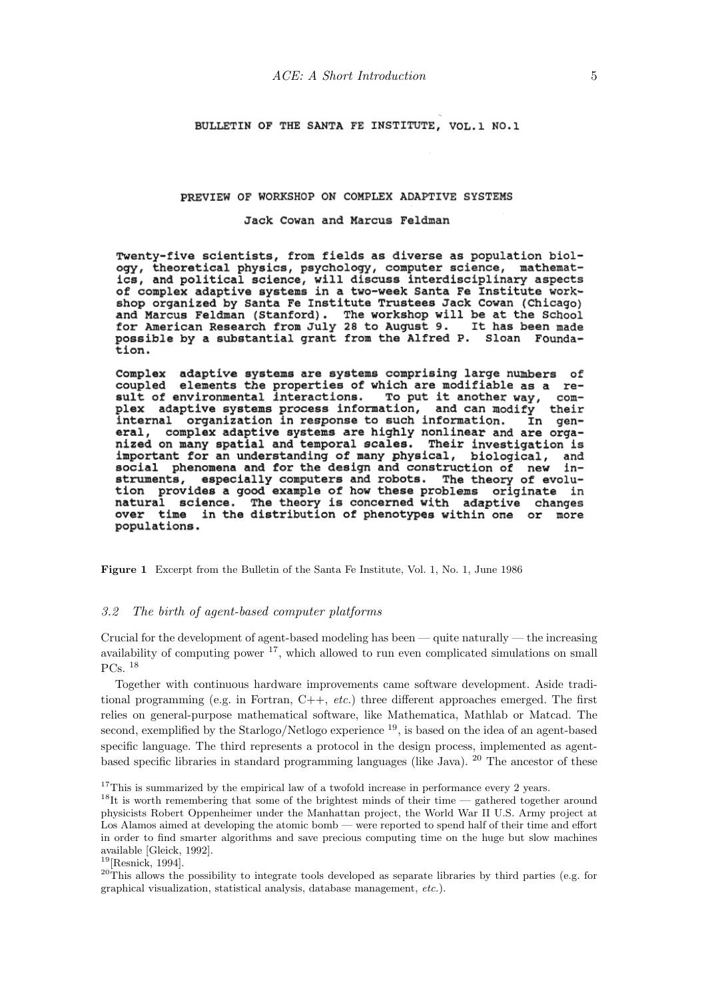#### PREVIEW OF WORKSHOP ON COMPLEX ADAPTIVE SYSTEMS

#### Jack Cowan and Marcus Feldman

Twenty-five scientists, from fields as diverse as population biology, theoretical physics, psychology, computer science, mathematics, and political science, will discuss interdisciplinary aspects<br>of complex adaptive systems in a two-week Santa Fe Institute workshop organized by Santa Fe Institute Trustees Jack Cowan (Chicago) and Marcus Feldman (Stanford). The workshop will be at the School for American Research from July 28 to August 9. It has been made<br>possible by a substantial grant from the Alfred P. Sloan Founda-It has been made tion.

Complex adaptive systems are systems comprising large numbers of elements the properties of which are modifiable as a recoupled sult of environmental interactions. To put it another way, complex adaptive systems process information, and can modify internal organization in response to such information. In their In general, complex adaptive systems are highly nonlinear and are organized on many spatial and temporal scales. Their investigation is important for an understanding of many physical, biological, and social phenomena and for the design and construction of new instruments, especially computers and robots. The theory of evolu-<br>tion provides a good example of how these problems originate in natural science. The theory is concerned with adaptive changes over time in the distribution of phenotypes within one or more populations.

Figure 1 Excerpt from the Bulletin of the Santa Fe Institute, Vol. 1, No. 1, June 1986

#### *3.2 The birth of agent-based computer platforms*

Crucial for the development of agent-based modeling has been — quite naturally — the increasing availability of computing power <sup>17</sup>, which allowed to run even complicated simulations on small PCs. <sup>18</sup>

Together with continuous hardware improvements came software development. Aside traditional programming (e.g. in Fortran, C++, *etc.*) three different approaches emerged. The first relies on general-purpose mathematical software, like Mathematica, Mathlab or Matcad. The second, exemplified by the Starlogo/Netlogo experience  $^{19}$ , is based on the idea of an agent-based specific language. The third represents a protocol in the design process, implemented as agentbased specific libraries in standard programming languages (like Java). <sup>20</sup> The ancestor of these

 $17$ This is summarized by the empirical law of a twofold increase in performance every 2 years.

<sup>18</sup>It is worth remembering that some of the brightest minds of their time — gathered together around physicists Robert Oppenheimer under the Manhattan project, the World War II U.S. Army project at Los Alamos aimed at developing the atomic bomb — were reported to spend half of their time and effort in order to find smarter algorithms and save precious computing time on the huge but slow machines available [Gleick, 1992].

<sup>19</sup>[Resnick, 1994].

<sup>20</sup>This allows the possibility to integrate tools developed as separate libraries by third parties (e.g. for graphical visualization, statistical analysis, database management, etc.).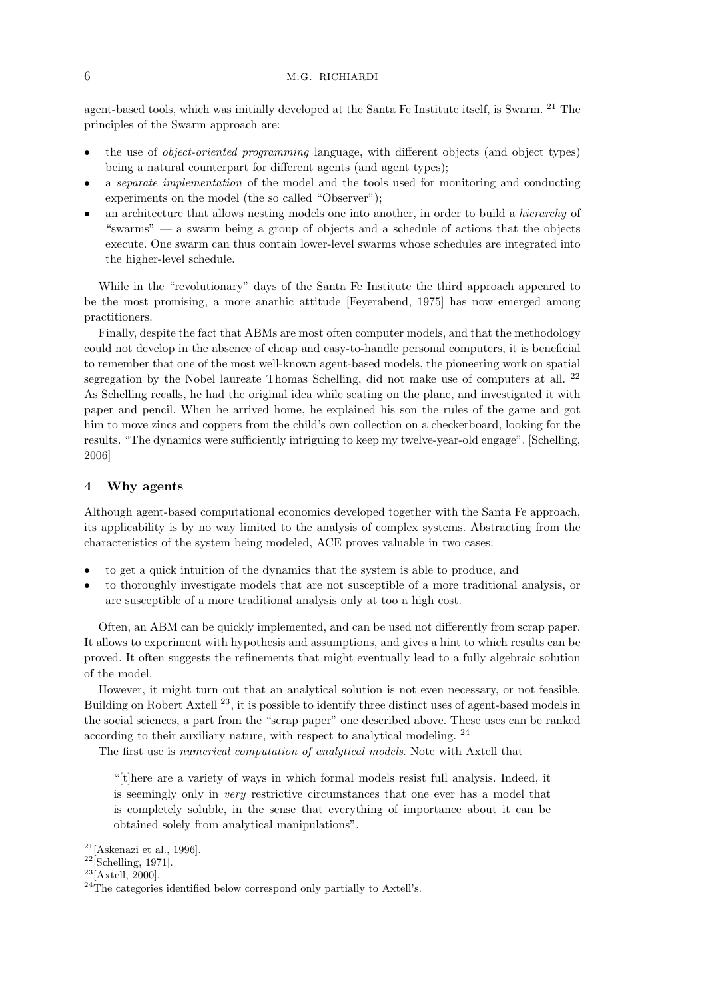agent-based tools, which was initially developed at the Santa Fe Institute itself, is Swarm. <sup>21</sup> The principles of the Swarm approach are:

- the use of *object-oriented programming* language, with different objects (and object types) being a natural counterpart for different agents (and agent types);
- a *separate implementation* of the model and the tools used for monitoring and conducting experiments on the model (the so called "Observer");
- an architecture that allows nesting models one into another, in order to build a *hierarchy* of "swarms" — a swarm being a group of objects and a schedule of actions that the objects execute. One swarm can thus contain lower-level swarms whose schedules are integrated into the higher-level schedule.

While in the "revolutionary" days of the Santa Fe Institute the third approach appeared to be the most promising, a more anarhic attitude [Feyerabend, 1975] has now emerged among practitioners.

Finally, despite the fact that ABMs are most often computer models, and that the methodology could not develop in the absence of cheap and easy-to-handle personal computers, it is beneficial to remember that one of the most well-known agent-based models, the pioneering work on spatial segregation by the Nobel laureate Thomas Schelling, did not make use of computers at all.  $^{22}$ As Schelling recalls, he had the original idea while seating on the plane, and investigated it with paper and pencil. When he arrived home, he explained his son the rules of the game and got him to move zincs and coppers from the child's own collection on a checkerboard, looking for the results. "The dynamics were sufficiently intriguing to keep my twelve-year-old engage". [Schelling, 2006]

# 4 Why agents

Although agent-based computational economics developed together with the Santa Fe approach, its applicability is by no way limited to the analysis of complex systems. Abstracting from the characteristics of the system being modeled, ACE proves valuable in two cases:

- to get a quick intuition of the dynamics that the system is able to produce, and
- to thoroughly investigate models that are not susceptible of a more traditional analysis, or are susceptible of a more traditional analysis only at too a high cost.

Often, an ABM can be quickly implemented, and can be used not differently from scrap paper. It allows to experiment with hypothesis and assumptions, and gives a hint to which results can be proved. It often suggests the refinements that might eventually lead to a fully algebraic solution of the model.

However, it might turn out that an analytical solution is not even necessary, or not feasible. Building on Robert Axtell <sup>23</sup>, it is possible to identify three distinct uses of agent-based models in the social sciences, a part from the "scrap paper" one described above. These uses can be ranked according to their auxiliary nature, with respect to analytical modeling. <sup>24</sup>

The first use is *numerical computation of analytical models*. Note with Axtell that

"[t]here are a variety of ways in which formal models resist full analysis. Indeed, it is seemingly only in *very* restrictive circumstances that one ever has a model that is completely soluble, in the sense that everything of importance about it can be obtained solely from analytical manipulations".

 $21$ [Askenazi et al., 1996].

 $22$ <sup>[</sup>Schelling, 1971].

 $23$ <sup>[</sup>Axtell, 2000].

 $^{24}$ The categories identified below correspond only partially to Axtell's.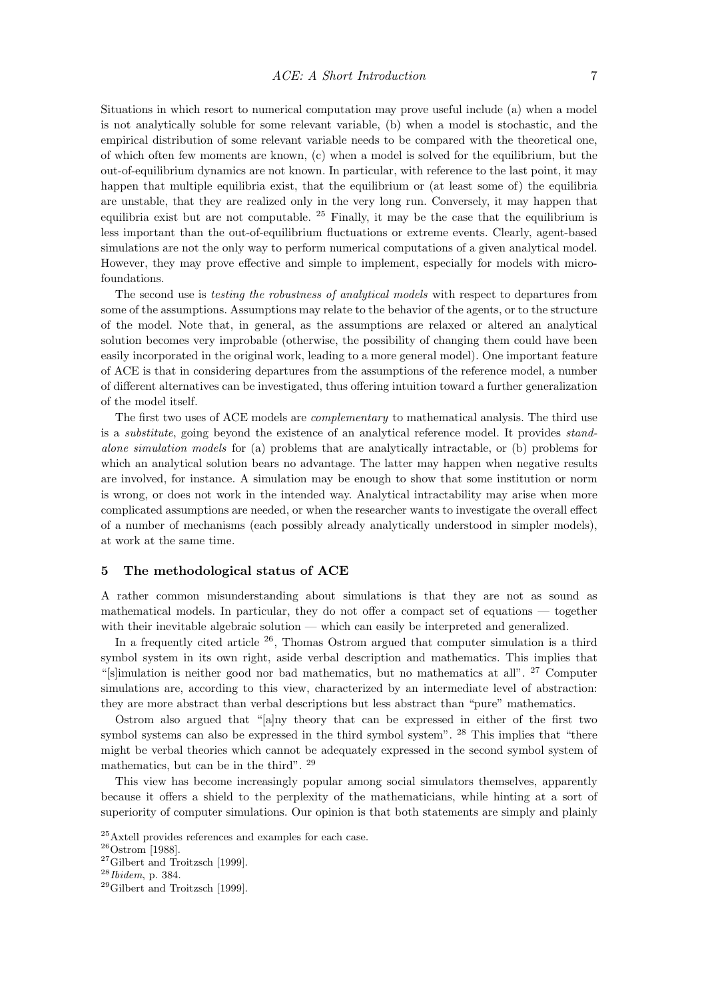Situations in which resort to numerical computation may prove useful include (a) when a model is not analytically soluble for some relevant variable, (b) when a model is stochastic, and the empirical distribution of some relevant variable needs to be compared with the theoretical one, of which often few moments are known, (c) when a model is solved for the equilibrium, but the out-of-equilibrium dynamics are not known. In particular, with reference to the last point, it may happen that multiple equilibria exist, that the equilibrium or (at least some of) the equilibria are unstable, that they are realized only in the very long run. Conversely, it may happen that equilibria exist but are not computable.  $^{25}$  Finally, it may be the case that the equilibrium is less important than the out-of-equilibrium fluctuations or extreme events. Clearly, agent-based simulations are not the only way to perform numerical computations of a given analytical model. However, they may prove effective and simple to implement, especially for models with microfoundations.

The second use is *testing the robustness of analytical models* with respect to departures from some of the assumptions. Assumptions may relate to the behavior of the agents, or to the structure of the model. Note that, in general, as the assumptions are relaxed or altered an analytical solution becomes very improbable (otherwise, the possibility of changing them could have been easily incorporated in the original work, leading to a more general model). One important feature of ACE is that in considering departures from the assumptions of the reference model, a number of different alternatives can be investigated, thus offering intuition toward a further generalization of the model itself.

The first two uses of ACE models are *complementary* to mathematical analysis. The third use is a *substitute*, going beyond the existence of an analytical reference model. It provides *standalone simulation models* for (a) problems that are analytically intractable, or (b) problems for which an analytical solution bears no advantage. The latter may happen when negative results are involved, for instance. A simulation may be enough to show that some institution or norm is wrong, or does not work in the intended way. Analytical intractability may arise when more complicated assumptions are needed, or when the researcher wants to investigate the overall effect of a number of mechanisms (each possibly already analytically understood in simpler models), at work at the same time.

#### 5 The methodological status of ACE

A rather common misunderstanding about simulations is that they are not as sound as mathematical models. In particular, they do not offer a compact set of equations — together with their inevitable algebraic solution — which can easily be interpreted and generalized.

In a frequently cited article  $26$ , Thomas Ostrom argued that computer simulation is a third symbol system in its own right, aside verbal description and mathematics. This implies that "[s]imulation is neither good nor bad mathematics, but no mathematics at all". <sup>27</sup> Computer simulations are, according to this view, characterized by an intermediate level of abstraction: they are more abstract than verbal descriptions but less abstract than "pure" mathematics.

Ostrom also argued that "[a]ny theory that can be expressed in either of the first two symbol systems can also be expressed in the third symbol system". <sup>28</sup> This implies that "there might be verbal theories which cannot be adequately expressed in the second symbol system of mathematics, but can be in the third". <sup>29</sup>

This view has become increasingly popular among social simulators themselves, apparently because it offers a shield to the perplexity of the mathematicians, while hinting at a sort of superiority of computer simulations. Our opinion is that both statements are simply and plainly

 $^{25}\mbox{Axtell}$  provides references and examples for each case.

 $26$ Ostrom [1988].

<sup>&</sup>lt;sup>27</sup>Gilbert and Troitzsch [1999].

 $^{28}Ibidem$ , p. 384.

<sup>29</sup>Gilbert and Troitzsch [1999].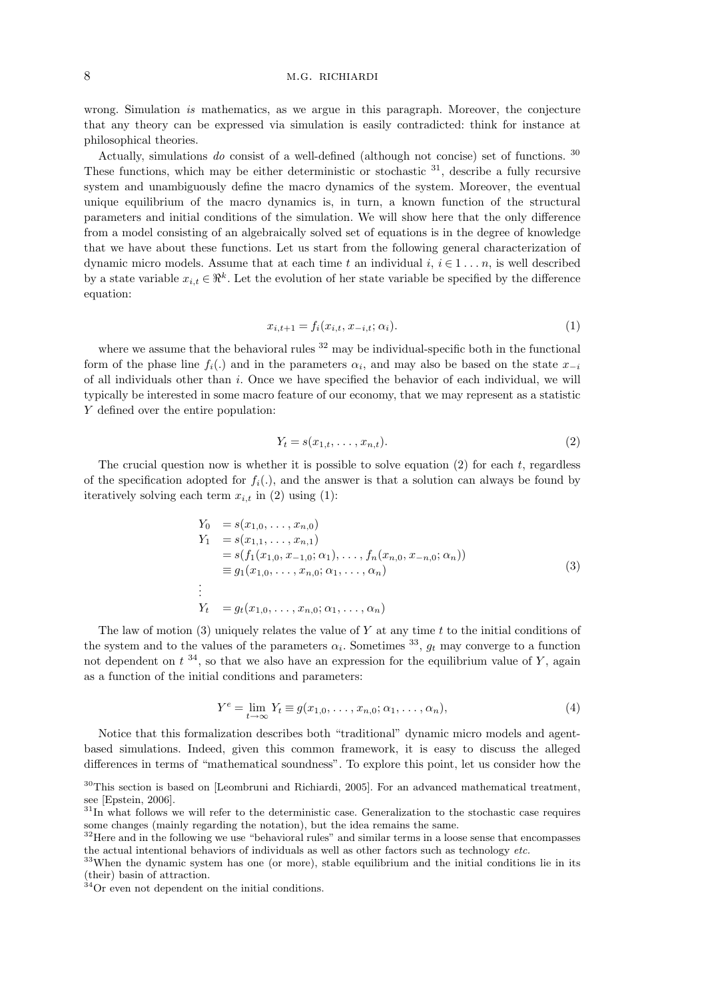# 8 m.g. richiardi M.G. RICHIARDI

wrong. Simulation *is* mathematics, as we argue in this paragraph. Moreover, the conjecture that any theory can be expressed via simulation is easily contradicted: think for instance at philosophical theories.

Actually, simulations *do* consist of a well-defined (although not concise) set of functions. <sup>30</sup> These functions, which may be either deterministic or stochastic  $31$ , describe a fully recursive system and unambiguously define the macro dynamics of the system. Moreover, the eventual unique equilibrium of the macro dynamics is, in turn, a known function of the structural parameters and initial conditions of the simulation. We will show here that the only difference from a model consisting of an algebraically solved set of equations is in the degree of knowledge that we have about these functions. Let us start from the following general characterization of dynamic micro models. Assume that at each time t an individual  $i, i \in 1 \ldots n$ , is well described by a state variable  $x_{i,t} \in \mathbb{R}^k$ . Let the evolution of her state variable be specified by the difference equation:

$$
x_{i,t+1} = f_i(x_{i,t}, x_{-i,t}; \alpha_i). \tag{1}
$$

where we assume that the behavioral rules  $32$  may be individual-specific both in the functional form of the phase line  $f_i(.)$  and in the parameters  $\alpha_i$ , and may also be based on the state  $x_{-i}$ of all individuals other than i. Once we have specified the behavior of each individual, we will typically be interested in some macro feature of our economy, that we may represent as a statistic Y defined over the entire population:

$$
Y_t = s(x_{1,t}, \dots, x_{n,t}).\tag{2}
$$

The crucial question now is whether it is possible to solve equation  $(2)$  for each t, regardless of the specification adopted for  $f_i(.)$ , and the answer is that a solution can always be found by iteratively solving each term  $x_{i,t}$  in (2) using (1):

$$
Y_0 = s(x_{1,0},...,x_{n,0})
$$
  
\n
$$
Y_1 = s(x_{1,1},...,x_{n,1})
$$
  
\n
$$
= s(f_1(x_{1,0},x_{-1,0};\alpha_1),...,f_n(x_{n,0},x_{-n,0};\alpha_n))
$$
  
\n
$$
\vdots
$$
  
\n
$$
Y_t = g_t(x_{1,0},...,x_{n,0};\alpha_1,...,\alpha_n)
$$
  
\n(3)  
\n(3)  
\n(3)

The law of motion  $(3)$  uniquely relates the value of Y at any time t to the initial conditions of the system and to the values of the parameters  $\alpha_i$ . Sometimes <sup>33</sup>,  $g_t$  may converge to a function not dependent on  $t^{34}$ , so that we also have an expression for the equilibrium value of Y, again as a function of the initial conditions and parameters:

$$
Y^e = \lim_{t \to \infty} Y_t \equiv g(x_{1,0}, \dots, x_{n,0}; \alpha_1, \dots, \alpha_n),
$$
\n(4)

Notice that this formalization describes both "traditional" dynamic micro models and agentbased simulations. Indeed, given this common framework, it is easy to discuss the alleged differences in terms of "mathematical soundness". To explore this point, let us consider how the

<sup>&</sup>lt;sup>30</sup>This section is based on [Leombruni and Richiardi, 2005]. For an advanced mathematical treatment, see [Epstein, 2006].

 $31$ In what follows we will refer to the deterministic case. Generalization to the stochastic case requires some changes (mainly regarding the notation), but the idea remains the same.

 $32$  Here and in the following we use "behavioral rules" and similar terms in a loose sense that encompasses the actual intentional behaviors of individuals as well as other factors such as technology etc.

<sup>&</sup>lt;sup>33</sup>When the dynamic system has one (or more), stable equilibrium and the initial conditions lie in its (their) basin of attraction.

 $34$ Or even not dependent on the initial conditions.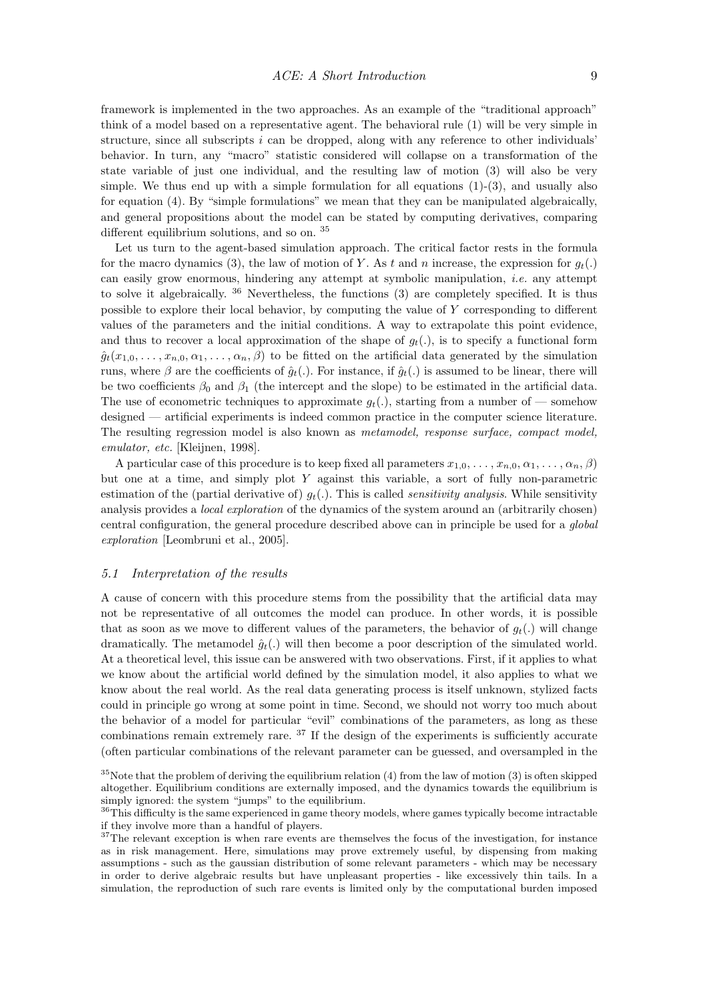framework is implemented in the two approaches. As an example of the "traditional approach" think of a model based on a representative agent. The behavioral rule (1) will be very simple in structure, since all subscripts  $i$  can be dropped, along with any reference to other individuals' behavior. In turn, any "macro" statistic considered will collapse on a transformation of the state variable of just one individual, and the resulting law of motion (3) will also be very simple. We thus end up with a simple formulation for all equations  $(1)-(3)$ , and usually also for equation (4). By "simple formulations" we mean that they can be manipulated algebraically, and general propositions about the model can be stated by computing derivatives, comparing different equilibrium solutions, and so on.  $^{\rm 35}$ 

Let us turn to the agent-based simulation approach. The critical factor rests in the formula for the macro dynamics (3), the law of motion of Y. As t and n increase, the expression for  $g_t(.)$ can easily grow enormous, hindering any attempt at symbolic manipulation, *i.e.* any attempt to solve it algebraically. <sup>36</sup> Nevertheless, the functions (3) are completely specified. It is thus possible to explore their local behavior, by computing the value of Y corresponding to different values of the parameters and the initial conditions. A way to extrapolate this point evidence, and thus to recover a local approximation of the shape of  $g_t(.)$ , is to specify a functional form  $\hat{g}_t(x_{1,0},\ldots,x_{n,0},\alpha_1,\ldots,\alpha_n,\beta)$  to be fitted on the artificial data generated by the simulation runs, where  $\beta$  are the coefficients of  $\hat{g}_t(.)$ . For instance, if  $\hat{g}_t(.)$  is assumed to be linear, there will be two coefficients  $\beta_0$  and  $\beta_1$  (the intercept and the slope) to be estimated in the artificial data. The use of econometric techniques to approximate  $q_t(.)$ , starting from a number of — somehow designed — artificial experiments is indeed common practice in the computer science literature. The resulting regression model is also known as *metamodel, response surface, compact model, emulator, etc.* [Kleijnen, 1998].

A particular case of this procedure is to keep fixed all parameters  $x_{1,0}, \ldots, x_{n,0}, \alpha_1, \ldots, \alpha_n, \beta$ but one at a time, and simply plot Y against this variable, a sort of fully non-parametric estimation of the (partial derivative of)  $g_t(.)$ . This is called *sensitivity analysis*. While sensitivity analysis provides a *local exploration* of the dynamics of the system around an (arbitrarily chosen) central configuration, the general procedure described above can in principle be used for a *global exploration* [Leombruni et al., 2005].

#### *5.1 Interpretation of the results*

A cause of concern with this procedure stems from the possibility that the artificial data may not be representative of all outcomes the model can produce. In other words, it is possible that as soon as we move to different values of the parameters, the behavior of  $g_t(.)$  will change dramatically. The metamodel  $\hat{g}_t(.)$  will then become a poor description of the simulated world. At a theoretical level, this issue can be answered with two observations. First, if it applies to what we know about the artificial world defined by the simulation model, it also applies to what we know about the real world. As the real data generating process is itself unknown, stylized facts could in principle go wrong at some point in time. Second, we should not worry too much about the behavior of a model for particular "evil" combinations of the parameters, as long as these combinations remain extremely rare.  $37$  If the design of the experiments is sufficiently accurate (often particular combinations of the relevant parameter can be guessed, and oversampled in the

 $35$ Note that the problem of deriving the equilibrium relation (4) from the law of motion (3) is often skipped altogether. Equilibrium conditions are externally imposed, and the dynamics towards the equilibrium is simply ignored: the system "jumps" to the equilibrium.

 $36$ This difficulty is the same experienced in game theory models, where games typically become intractable if they involve more than a handful of players.

<sup>&</sup>lt;sup>37</sup>The relevant exception is when rare events are themselves the focus of the investigation, for instance as in risk management. Here, simulations may prove extremely useful, by dispensing from making assumptions - such as the gaussian distribution of some relevant parameters - which may be necessary in order to derive algebraic results but have unpleasant properties - like excessively thin tails. In a simulation, the reproduction of such rare events is limited only by the computational burden imposed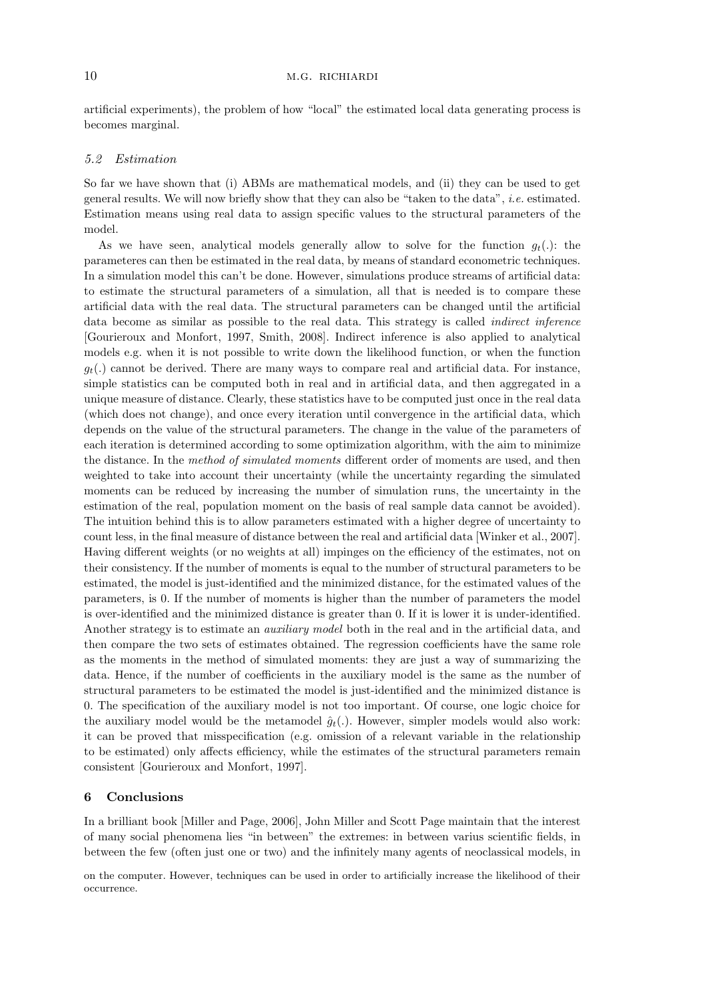artificial experiments), the problem of how "local" the estimated local data generating process is becomes marginal.

#### *5.2 Estimation*

So far we have shown that (i) ABMs are mathematical models, and (ii) they can be used to get general results. We will now briefly show that they can also be "taken to the data", *i.e.* estimated. Estimation means using real data to assign specific values to the structural parameters of the model.

As we have seen, analytical models generally allow to solve for the function  $q_t(.)$ : the parameteres can then be estimated in the real data, by means of standard econometric techniques. In a simulation model this can't be done. However, simulations produce streams of artificial data: to estimate the structural parameters of a simulation, all that is needed is to compare these artificial data with the real data. The structural parameters can be changed until the artificial data become as similar as possible to the real data. This strategy is called *indirect inference* [Gourieroux and Monfort, 1997, Smith, 2008]. Indirect inference is also applied to analytical models e.g. when it is not possible to write down the likelihood function, or when the function  $g_t(.)$  cannot be derived. There are many ways to compare real and artificial data. For instance, simple statistics can be computed both in real and in artificial data, and then aggregated in a unique measure of distance. Clearly, these statistics have to be computed just once in the real data (which does not change), and once every iteration until convergence in the artificial data, which depends on the value of the structural parameters. The change in the value of the parameters of each iteration is determined according to some optimization algorithm, with the aim to minimize the distance. In the *method of simulated moments* different order of moments are used, and then weighted to take into account their uncertainty (while the uncertainty regarding the simulated moments can be reduced by increasing the number of simulation runs, the uncertainty in the estimation of the real, population moment on the basis of real sample data cannot be avoided). The intuition behind this is to allow parameters estimated with a higher degree of uncertainty to count less, in the final measure of distance between the real and artificial data [Winker et al., 2007]. Having different weights (or no weights at all) impinges on the efficiency of the estimates, not on their consistency. If the number of moments is equal to the number of structural parameters to be estimated, the model is just-identified and the minimized distance, for the estimated values of the parameters, is 0. If the number of moments is higher than the number of parameters the model is over-identified and the minimized distance is greater than 0. If it is lower it is under-identified. Another strategy is to estimate an *auxiliary model* both in the real and in the artificial data, and then compare the two sets of estimates obtained. The regression coefficients have the same role as the moments in the method of simulated moments: they are just a way of summarizing the data. Hence, if the number of coefficients in the auxiliary model is the same as the number of structural parameters to be estimated the model is just-identified and the minimized distance is 0. The specification of the auxiliary model is not too important. Of course, one logic choice for the auxiliary model would be the metamodel  $\hat{q}_t(.)$ . However, simpler models would also work: it can be proved that misspecification (e.g. omission of a relevant variable in the relationship to be estimated) only affects efficiency, while the estimates of the structural parameters remain consistent [Gourieroux and Monfort, 1997].

### 6 Conclusions

In a brilliant book [Miller and Page, 2006], John Miller and Scott Page maintain that the interest of many social phenomena lies "in between" the extremes: in between varius scientific fields, in between the few (often just one or two) and the infinitely many agents of neoclassical models, in

on the computer. However, techniques can be used in order to artificially increase the likelihood of their occurrence.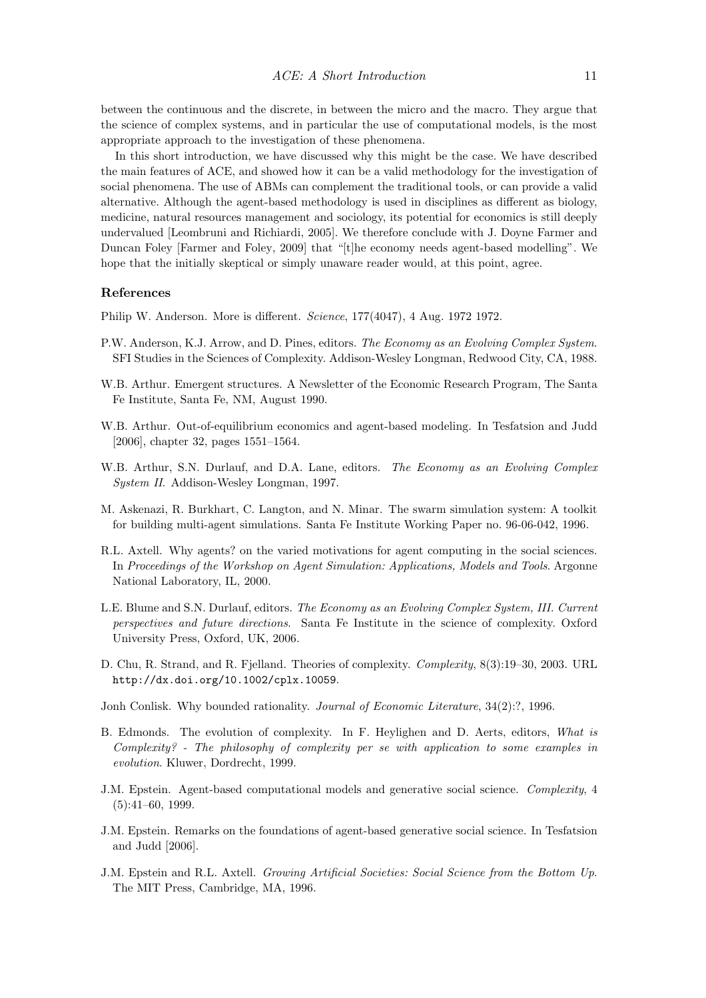between the continuous and the discrete, in between the micro and the macro. They argue that the science of complex systems, and in particular the use of computational models, is the most appropriate approach to the investigation of these phenomena.

In this short introduction, we have discussed why this might be the case. We have described the main features of ACE, and showed how it can be a valid methodology for the investigation of social phenomena. The use of ABMs can complement the traditional tools, or can provide a valid alternative. Although the agent-based methodology is used in disciplines as different as biology, medicine, natural resources management and sociology, its potential for economics is still deeply undervalued [Leombruni and Richiardi, 2005]. We therefore conclude with J. Doyne Farmer and Duncan Foley [Farmer and Foley, 2009] that "[t]he economy needs agent-based modelling". We hope that the initially skeptical or simply unaware reader would, at this point, agree.

#### References

Philip W. Anderson. More is different. *Science*, 177(4047), 4 Aug. 1972 1972.

- P.W. Anderson, K.J. Arrow, and D. Pines, editors. *The Economy as an Evolving Complex System*. SFI Studies in the Sciences of Complexity. Addison-Wesley Longman, Redwood City, CA, 1988.
- W.B. Arthur. Emergent structures. A Newsletter of the Economic Research Program, The Santa Fe Institute, Santa Fe, NM, August 1990.
- W.B. Arthur. Out-of-equilibrium economics and agent-based modeling. In Tesfatsion and Judd [2006], chapter 32, pages 1551–1564.
- W.B. Arthur, S.N. Durlauf, and D.A. Lane, editors. *The Economy as an Evolving Complex System II*. Addison-Wesley Longman, 1997.
- M. Askenazi, R. Burkhart, C. Langton, and N. Minar. The swarm simulation system: A toolkit for building multi-agent simulations. Santa Fe Institute Working Paper no. 96-06-042, 1996.
- R.L. Axtell. Why agents? on the varied motivations for agent computing in the social sciences. In *Proceedings of the Workshop on Agent Simulation: Applications, Models and Tools*. Argonne National Laboratory, IL, 2000.
- L.E. Blume and S.N. Durlauf, editors. *The Economy as an Evolving Complex System, III. Current perspectives and future directions*. Santa Fe Institute in the science of complexity. Oxford University Press, Oxford, UK, 2006.
- D. Chu, R. Strand, and R. Fjelland. Theories of complexity. *Complexity*, 8(3):19–30, 2003. URL http://dx.doi.org/10.1002/cplx.10059.

Jonh Conlisk. Why bounded rationality. *Journal of Economic Literature*, 34(2):?, 1996.

- B. Edmonds. The evolution of complexity. In F. Heylighen and D. Aerts, editors, *What is Complexity? - The philosophy of complexity per se with application to some examples in evolution*. Kluwer, Dordrecht, 1999.
- J.M. Epstein. Agent-based computational models and generative social science. *Complexity*, 4 (5):41–60, 1999.
- J.M. Epstein. Remarks on the foundations of agent-based generative social science. In Tesfatsion and Judd [2006].
- J.M. Epstein and R.L. Axtell. *Growing Artificial Societies: Social Science from the Bottom Up*. The MIT Press, Cambridge, MA, 1996.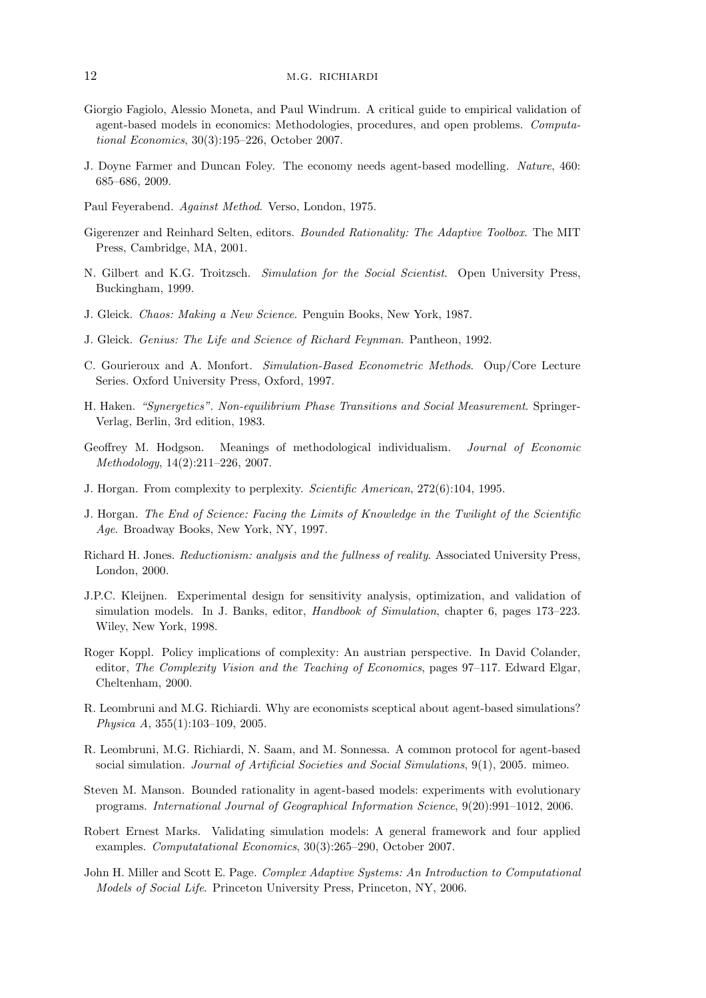- Giorgio Fagiolo, Alessio Moneta, and Paul Windrum. A critical guide to empirical validation of agent-based models in economics: Methodologies, procedures, and open problems. *Computational Economics*, 30(3):195–226, October 2007.
- J. Doyne Farmer and Duncan Foley. The economy needs agent-based modelling. *Nature*, 460: 685–686, 2009.
- Paul Feyerabend. *Against Method*. Verso, London, 1975.
- Gigerenzer and Reinhard Selten, editors. *Bounded Rationality: The Adaptive Toolbox*. The MIT Press, Cambridge, MA, 2001.
- N. Gilbert and K.G. Troitzsch. *Simulation for the Social Scientist*. Open University Press, Buckingham, 1999.
- J. Gleick. *Chaos: Making a New Science*. Penguin Books, New York, 1987.
- J. Gleick. *Genius: The Life and Science of Richard Feynman*. Pantheon, 1992.
- C. Gourieroux and A. Monfort. *Simulation-Based Econometric Methods*. Oup/Core Lecture Series. Oxford University Press, Oxford, 1997.
- H. Haken. *"Synergetics". Non-equilibrium Phase Transitions and Social Measurement*. Springer-Verlag, Berlin, 3rd edition, 1983.
- Geoffrey M. Hodgson. Meanings of methodological individualism. *Journal of Economic Methodology*, 14(2):211–226, 2007.
- J. Horgan. From complexity to perplexity. *Scientific American*, 272(6):104, 1995.
- J. Horgan. *The End of Science: Facing the Limits of Knowledge in the Twilight of the Scientific Age*. Broadway Books, New York, NY, 1997.
- Richard H. Jones. *Reductionism: analysis and the fullness of reality*. Associated University Press, London, 2000.
- J.P.C. Kleijnen. Experimental design for sensitivity analysis, optimization, and validation of simulation models. In J. Banks, editor, *Handbook of Simulation*, chapter 6, pages 173–223. Wiley, New York, 1998.
- Roger Koppl. Policy implications of complexity: An austrian perspective. In David Colander, editor, *The Complexity Vision and the Teaching of Economics*, pages 97–117. Edward Elgar, Cheltenham, 2000.
- R. Leombruni and M.G. Richiardi. Why are economists sceptical about agent-based simulations? *Physica A*, 355(1):103–109, 2005.
- R. Leombruni, M.G. Richiardi, N. Saam, and M. Sonnessa. A common protocol for agent-based social simulation. *Journal of Artificial Societies and Social Simulations*, 9(1), 2005. mimeo.
- Steven M. Manson. Bounded rationality in agent-based models: experiments with evolutionary programs. *International Journal of Geographical Information Science*, 9(20):991–1012, 2006.
- Robert Ernest Marks. Validating simulation models: A general framework and four applied examples. *Computatational Economics*, 30(3):265–290, October 2007.
- John H. Miller and Scott E. Page. *Complex Adaptive Systems: An Introduction to Computational Models of Social Life*. Princeton University Press, Princeton, NY, 2006.